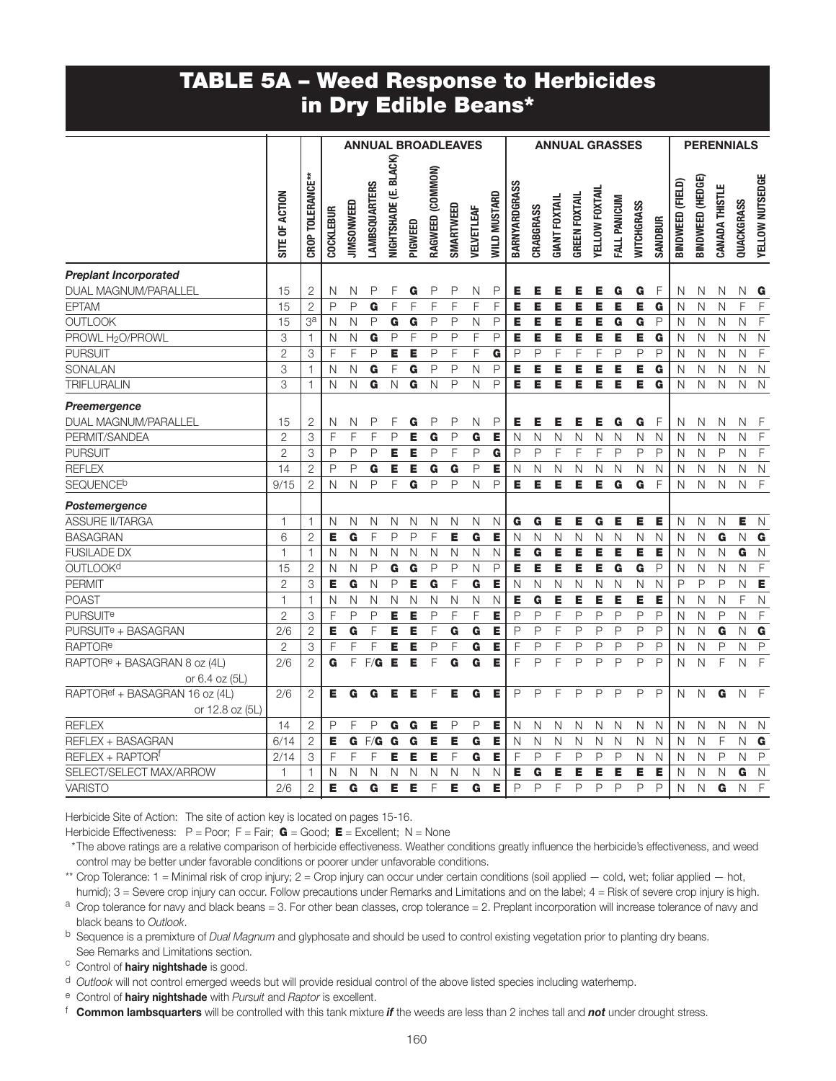#### TABLE 5A – Weed Response to Herbicides in Dry Edible Beans\*

|                                            |                           |                  |                  |                   | <b>ANNUAL BROADLEAVES</b> |                         |         |                  |              |              |                     |               |              |                      |                      |                | <b>ANNUAL GRASSES</b> |                         |                |                  |                  | <b>PERENNIALS</b> |                         |                         |
|--------------------------------------------|---------------------------|------------------|------------------|-------------------|---------------------------|-------------------------|---------|------------------|--------------|--------------|---------------------|---------------|--------------|----------------------|----------------------|----------------|-----------------------|-------------------------|----------------|------------------|------------------|-------------------|-------------------------|-------------------------|
|                                            | SITE OF ACTION            | CROP TOLERANCE** | <b>COCKLEBUR</b> | <b>JIMSONWEED</b> | <b>LAMBSQUARTERS</b>      | NIGHTSHADE (E. BLACK)   | PIGWEED | RAGWEED (COMMON) | SMARTWEED    | VELVETLEAF   | <b>WILD MUSTARD</b> | BARNYARDGRASS | CRABGRASS    | <b>GIANT FOXTAIL</b> | <b>GREEN FOXTAIL</b> | YELLOW FOXTAIL | FALL PANICUM          | WITCHGRASS              | <b>SANDBUR</b> | BINDWEED (FIELD) | BINDWEED (HEDGE) | CANADA THISTLE    | QUACKGRASS              | YELLOW NUTSEDGE         |
| <b>Preplant Incorporated</b>               |                           |                  |                  |                   |                           |                         |         |                  |              |              |                     |               |              |                      |                      |                |                       |                         |                |                  |                  |                   |                         |                         |
| DUAL MAGNUM/PARALLEL                       | 15                        | $\overline{2}$   | N                | N                 | P                         | F                       | G       | P                | $\mathsf{P}$ | N            | P                   | Е             | Е            | Е                    | Е                    | Е              | G                     | G                       | F              | N                | N                | N                 | Ν                       | G                       |
| <b>EPTAM</b>                               | 15                        | $\overline{2}$   | P                | $\mathsf{P}$      | G                         | F                       | F       | F                | F            | F            | F                   | Е             | E            | Е                    | E                    | E              | E                     | E                       | G              | N                | N                | N                 | F                       | F                       |
| <b>OUTLOOK</b>                             | 15                        | 3 <sup>a</sup>   | N                | $\mathsf{N}$      | $\mathsf{P}$              | G                       | G       | P                | P            | N            | P                   | Е             | E            | Е                    | Е                    | E              | G                     | G                       | P              | N                | N                | N                 | N                       | F                       |
| PROWL H <sub>2</sub> O/PROWL               | 3                         | $\mathbf{1}$     | N                | $\mathsf{N}$      | $\overline{\mathbf{G}}$   | $\mathsf{P}$            | F       | $\overline{P}$   | $\mathsf{P}$ | F            | P                   | E             | E            | E                    | E                    | E              | E                     | E                       | G              | N                | N                | N                 | $\overline{N}$          | $\mathsf{N}$            |
| <b>PURSUIT</b>                             | $\overline{2}$            | 3                | F                | F                 | P                         | E                       | E       | P                | F            | F            | G                   | P             | P            | F                    | F                    | F              | $\mathsf{P}$          | $\mathsf P$             | P              | N                | N                | N                 | N                       | $\mathsf F$             |
| <b>SONALAN</b>                             | $\ensuremath{\mathsf{3}}$ | $\mathbf{1}$     | N                | N                 | G                         | F                       | G       | P                | P            | N            | P                   | Е             | E            | Е                    | E                    | E              | E                     | E                       | G              | N                | $\mathsf{N}$     | $\mathsf{N}$      | Ν                       | $\mathsf N$             |
| <b>TRIFLURALIN</b>                         | 3                         | $\mathbf{1}$     | N                | N                 | G                         | $\mathsf{N}$            | G       | N                | $\mathsf{P}$ | N            | $\mathsf{P}$        | Е             | E            | Е                    | Е                    | Е              | Е                     | E                       | G              | N                | N                | N                 | N                       | $\overline{N}$          |
| Preemergence                               |                           |                  |                  |                   |                           |                         |         |                  |              |              |                     |               |              |                      |                      |                |                       |                         |                |                  |                  |                   |                         |                         |
| DUAL MAGNUM/PARALLEL                       | 15                        | $\mathbf{2}$     | N                | N                 | $\mathsf{P}$              | F                       | G       | P                | $\mathsf{P}$ | N            | $\mathsf{P}$        | Е             | Е            | Е                    | Е                    | Е              | G                     | G                       | F              | N                | N                | N                 | Ν                       | $\mathsf{F}$            |
| PERMIT/SANDEA                              | $\overline{2}$            | 3                | F                | F                 | F                         | $\mathsf P$             | E       | G                | $\mathsf{P}$ | G            | E                   | N             | N            | N                    | N                    | N              | N                     | N                       | $\mathsf{N}$   | N                | N                | N                 | N                       | $\overline{F}$          |
| <b>PURSUIT</b>                             | $\overline{2}$            | 3                | P                | P                 | P                         | E                       | E       | $\mathsf{P}$     | F            | P            | G                   | P             | P            | F                    | F                    | $\mathsf F$    | P                     | $\mathsf{P}$            | P              | N                | N                | P                 | N                       | $\mathsf F$             |
| <b>REFLEX</b>                              | 14                        | $\overline{2}$   | P                | $\mathsf{P}$      | G                         | E                       | E       | G                | G            | $\mathsf{P}$ | Е                   | N             | N            | $\mathsf{N}$         | N                    | N              | N                     | N                       | N              | N                | N                | N                 | N                       | $\overline{N}$          |
| <b>SEQUENCE<sup>b</sup></b>                | 9/15                      | $\overline{c}$   | N                | N                 | P                         | F                       | G       | P                | $\mathsf{P}$ | N            | P                   | Е.            | E            | Е                    | E                    | E              | G                     | G                       | F              | N                | N                | N                 | $\mathsf N$             | $\mathsf F$             |
| Postemergence                              |                           |                  |                  |                   |                           |                         |         |                  |              |              |                     |               |              |                      |                      |                |                       |                         |                |                  |                  |                   |                         |                         |
| <b>ASSURE II/TARGA</b>                     | $\mathbf{1}$              | 1                | N                | N                 | N                         | N                       | Ν       | N                | N            | N            | N                   | G             | G            | Е                    | Е                    | G              | Е                     | E                       | Е              | N                | $\mathsf{N}$     | N                 | Е                       | $\mathsf{N}$            |
| <b>BASAGRAN</b>                            | 6                         | $\overline{2}$   | E                | G                 | F                         | P                       | P       | F                | E            | G            | E                   | N             | N            | N                    | N                    | N              | N                     | N                       | N              | N                | N                | G                 | N                       | $\overline{\mathbf{G}}$ |
| <b>FUSILADE DX</b>                         | $\mathbf{1}$              | 1                | N                | N                 | $\mathsf{N}$              | $\mathsf N$             | N       | N                | N            | N            | N                   | Е             | G            | Е                    | Е                    | Е              | Е                     | E                       | Е              | N                | N                | N                 | G                       | $\mathsf{N}$            |
| <b>OUTLOOKd</b>                            | 15                        | $\overline{2}$   | N                | $\mathsf{N}$      | $\mathsf P$               | $\overline{\mathbf{G}}$ | G       | P                | $\mathsf{P}$ | $\mathsf{N}$ | $\mathsf{P}$        | Е             | E            | Е                    | E                    | E              | G                     | $\overline{\mathbf{G}}$ | P              | N                | N                | N                 | Ν                       | $\overline{F}$          |
| <b>PERMIT</b>                              | $\overline{2}$            | $\overline{3}$   | E                | G                 | $\overline{N}$            | $\mathsf P$             | E       | G                | F            | G            | E                   | N             | N            | N                    | N                    | N              | N                     | $\overline{\mathsf{N}}$ | N              | P                | $\mathsf{P}$     | P                 | N                       | $\overline{E}$          |
| <b>POAST</b>                               | $\mathbf{1}$              | $\mathbf{1}$     | N                | N                 | $\mathsf{N}$              | N                       | N       | N                | N            | N            | N                   | Е             | G            | E                    | Е                    | E              | E                     | E                       | E              | N                | N                | N                 | F                       | N                       |
| <b>PURSUIT<sup>e</sup></b>                 | $\overline{2}$            | 3                | F                | $\mathsf{P}$      | P                         | E                       | E       | P                | F            | F            | E                   | P             | P            | F                    | P                    | P              | $\mathsf{P}$          | P                       | P              | N                | N                | $\mathsf{P}$      | N                       | $\mathsf F$             |
| PURSUIT <sup>e</sup> + BASAGRAN            | 2/6                       | $\overline{c}$   | E                | G                 | F                         | E                       | E       | F                | G            | G            | E                   | P             | P            | F                    | $\mathsf{P}$         | P              | $\mathsf{P}$          | P                       | P              | N                | N                | G                 | N                       | G                       |
| <b>RAPTORe</b>                             | $\overline{c}$            | 3                | F                | F                 | F                         | E                       | E       | P                | F            | G            | E                   | F             | P            | F                    | P                    | $\mathsf{P}$   | $\mathsf{P}$          | P                       | P              | N                | N                | P                 | $\overline{\mathsf{N}}$ | $\mathsf{P}$            |
| RAPTOR <sup>e</sup> + BASAGRAN 8 oz (4L)   | 2/6                       | $\overline{2}$   | G                | F                 | F/G                       | Е                       | E       | F                | G            | G            | E                   | F             | P            | F                    | P                    | $\mathsf{P}$   | $\mathsf{P}$          | P                       | P              | N                | N                | F                 | N                       | $\overline{F}$          |
| or 6.4 oz (5L)                             |                           |                  |                  |                   |                           |                         |         |                  |              |              |                     |               |              |                      |                      |                |                       |                         |                |                  |                  |                   |                         |                         |
| RAPTOR <sup>ef</sup> + BASAGRAN 16 oz (4L) | 2/6                       | $\overline{2}$   | Е                | G                 | G                         | Е                       | Е       | F                | Е            | G            | Е                   | P             | $\mathsf{P}$ | F                    | P                    | P              | $\mathsf{P}$          | P                       | $\mathsf{P}$   | N                | N                | G                 | $\mathsf{N}$            | $\overline{F}$          |
| or 12.8 oz (5L)                            |                           |                  |                  |                   |                           |                         |         |                  |              |              |                     |               |              |                      |                      |                |                       |                         |                |                  |                  |                   |                         |                         |
| <b>REFLEX</b>                              | 14                        | $\overline{2}$   | $\mathsf{P}$     | F                 | P                         | G                       | G       | Е                | P            | P            | Е                   | N             | N            | N                    | $\mathsf{N}$         | $\hbox{N}$     | $\mathsf{N}$          | N                       | $\mathsf{N}$   | N                | $\mathsf{N}$     | N                 | N                       | $\mathsf{N}$            |
| REFLEX + BASAGRAN                          | 6/14                      | $\mathbf{2}$     | Е                | G                 | F/G                       | G                       | G       | Е                | Е            | G            | Е                   | N             | N            | N                    | N                    | N              | N                     | N                       | N              | N                | N                | F                 | N                       | G                       |
| REFLEX + RAPTORf                           | 2/14                      | 3                | F                | F                 | F                         | E                       | E       | E                | F            | G            | E                   | F             | P            | F                    | $\mathsf{P}$         | P              | $\mathsf{P}$          | $\mathsf{N}$            | $\overline{N}$ | N                | N                | $\mathsf{P}$      | $\overline{\mathsf{N}}$ | $\mathsf{P}$            |
| SELECT/SELECT MAX/ARROW                    | 1                         | 1                | N                | N                 | N                         | N                       | N       | N                | N            | N            | N                   | Е             | G            | Е                    | Е                    | Е              | Е                     | Е                       | E              | N                | N                | N                 | G                       | $\mathsf{N}$            |
| <b>VARISTO</b>                             | 2/6                       | $\overline{2}$   | E                | G                 | G                         | E                       | E       | F                | E            | G            | E                   | P             | P            | F                    | P                    | $\mathsf{P}$   | $\mathsf{P}$          | P                       | P              | N                | N                | G                 | N                       | $\mathsf F$             |

Herbicide Site of Action: The site of action key is located on pages 15-16.

Herbicide Effectiveness:  $P = Poor$ ;  $F = Fair$ ;  $G = Good$ ;  $E = Excellent$ ; N = None

 \* The above ratings are a relative comparison of herbicide effectiveness. Weather conditions greatly influence the herbicide's effectiveness, and weed control may be better under favorable conditions or poorer under unfavorable conditions.

\*\* Crop Tolerance: 1 = Minimal risk of crop injury; 2 = Crop injury can occur under certain conditions (soil applied — cold, wet; foliar applied — hot, humid); 3 = Severe crop injury can occur. Follow precautions under Remarks and Limitations and on the label; 4 = Risk of severe crop injury is high.

 $a$  Crop tolerance for navy and black beans = 3. For other bean classes, crop tolerance = 2. Preplant incorporation will increase tolerance of navy and black beans to *Outlook*.

b Sequence is a premixture of *Dual Magnum* and glyphosate and should be used to control existing vegetation prior to planting dry beans. See Remarks and Limitations section.

c Control of **hairy nightshade** is good.

d *Outlook* will not control emerged weeds but will provide residual control of the above listed species including waterhemp.

e Control of hairy nightshade with *Pursuit* and *Raptor* is excellent.

f Common lambsquarters will be controlled with this tank mixture *if* the weeds are less than 2 inches tall and *not* under drought stress.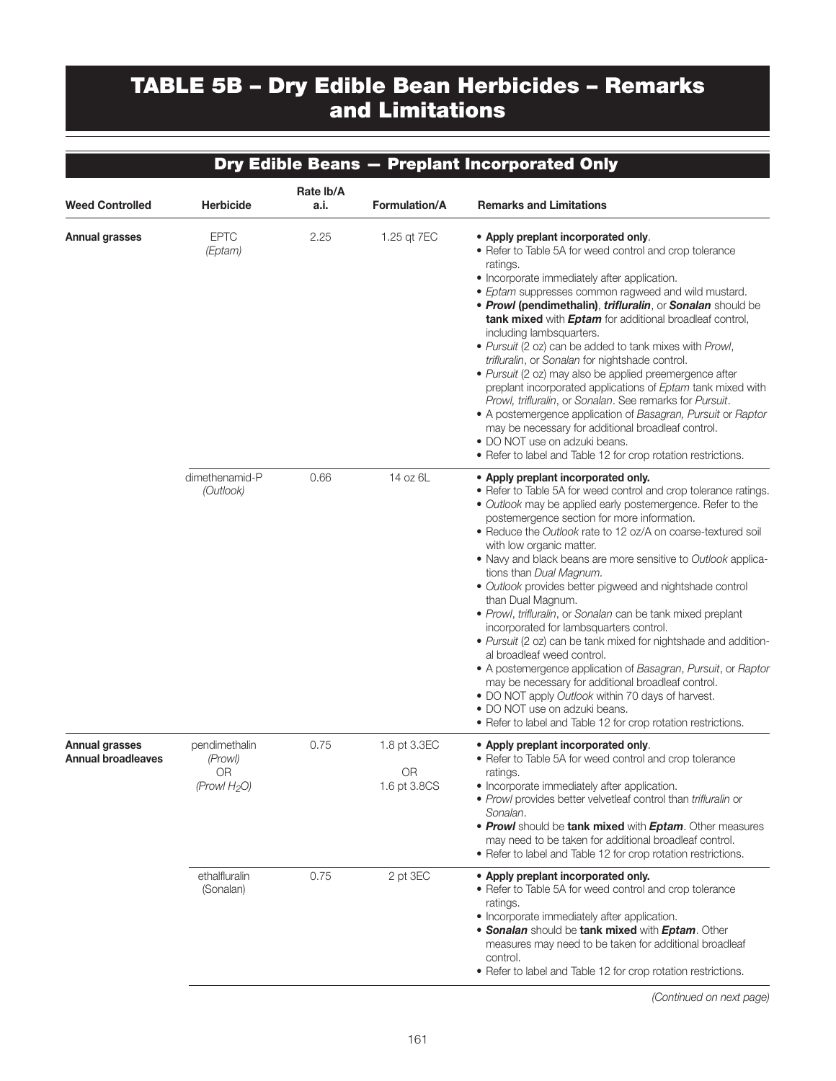## TABLE 5B – Dry Edible Bean Herbicides – Remarks and Limitations

|                                                    |                                                   |                   |                                    | Dry Edible Beans - Preplant Incorporated Only                                                                                                                                                                                                                                                                                                                                                                                                                                                                                                                                                                                                                                                                                                                                                                                                                                                                                                                                          |
|----------------------------------------------------|---------------------------------------------------|-------------------|------------------------------------|----------------------------------------------------------------------------------------------------------------------------------------------------------------------------------------------------------------------------------------------------------------------------------------------------------------------------------------------------------------------------------------------------------------------------------------------------------------------------------------------------------------------------------------------------------------------------------------------------------------------------------------------------------------------------------------------------------------------------------------------------------------------------------------------------------------------------------------------------------------------------------------------------------------------------------------------------------------------------------------|
| <b>Weed Controlled</b>                             | <b>Herbicide</b>                                  | Rate lb/A<br>a.i. | Formulation/A                      | <b>Remarks and Limitations</b>                                                                                                                                                                                                                                                                                                                                                                                                                                                                                                                                                                                                                                                                                                                                                                                                                                                                                                                                                         |
| <b>Annual grasses</b>                              | <b>EPTC</b><br>(Eptam)                            | 2.25              | 1.25 qt 7EC                        | • Apply preplant incorporated only.<br>• Refer to Table 5A for weed control and crop tolerance<br>ratings.<br>• Incorporate immediately after application.<br>• Eptam suppresses common ragweed and wild mustard.<br>• Prowl (pendimethalin), trifluralin, or Sonalan should be<br>tank mixed with <b>Eptam</b> for additional broadleaf control,<br>including lambsquarters.<br>. Pursuit (2 oz) can be added to tank mixes with Prowl,<br>trifluralin, or Sonalan for nightshade control.<br>· Pursuit (2 oz) may also be applied preemergence after<br>preplant incorporated applications of Eptam tank mixed with<br>Prowl, trifluralin, or Sonalan. See remarks for Pursuit.<br>• A postemergence application of Basagran, Pursuit or Raptor<br>may be necessary for additional broadleaf control.<br>• DO NOT use on adzuki beans.<br>• Refer to label and Table 12 for crop rotation restrictions.                                                                              |
|                                                    | dimethenamid-P<br>(Outlook)                       | 0.66              | 14 oz 6L                           | • Apply preplant incorporated only.<br>• Refer to Table 5A for weed control and crop tolerance ratings.<br>• Outlook may be applied early postemergence. Refer to the<br>postemergence section for more information.<br>• Reduce the Outlook rate to 12 oz/A on coarse-textured soil<br>with low organic matter.<br>. Navy and black beans are more sensitive to Outlook applica-<br>tions than Dual Magnum.<br>· Outlook provides better pigweed and nightshade control<br>than Dual Magnum.<br>• Prowl, trifluralin, or Sonalan can be tank mixed preplant<br>incorporated for lambsquarters control.<br>• Pursuit (2 oz) can be tank mixed for nightshade and addition-<br>al broadleaf weed control.<br>• A postemergence application of Basagran, Pursuit, or Raptor<br>may be necessary for additional broadleaf control.<br>• DO NOT apply Outlook within 70 days of harvest.<br>• DO NOT use on adzuki beans.<br>• Refer to label and Table 12 for crop rotation restrictions. |
| <b>Annual grasses</b><br><b>Annual broadleaves</b> | pendimethalin<br>(Prowl)<br>0R<br>(Prowl $H_2O$ ) | 0.75              | 1.8 pt 3.3EC<br>OR<br>1.6 pt 3.8CS | • Apply preplant incorporated only.<br>• Refer to Table 5A for weed control and crop tolerance<br>ratings.<br>• Incorporate immediately after application.<br>• Prowl provides better velvetleaf control than trifluralin or<br>Sonalan.<br>• Prowl should be tank mixed with Eptam. Other measures<br>may need to be taken for additional broadleaf control.<br>• Refer to label and Table 12 for crop rotation restrictions.                                                                                                                                                                                                                                                                                                                                                                                                                                                                                                                                                         |
|                                                    | ethalfluralin<br>(Sonalan)                        | 0.75              | 2 pt 3EC                           | • Apply preplant incorporated only.<br>• Refer to Table 5A for weed control and crop tolerance<br>ratings.<br>• Incorporate immediately after application.<br>• Sonalan should be tank mixed with Eptam. Other<br>measures may need to be taken for additional broadleaf<br>control.<br>• Refer to label and Table 12 for crop rotation restrictions.                                                                                                                                                                                                                                                                                                                                                                                                                                                                                                                                                                                                                                  |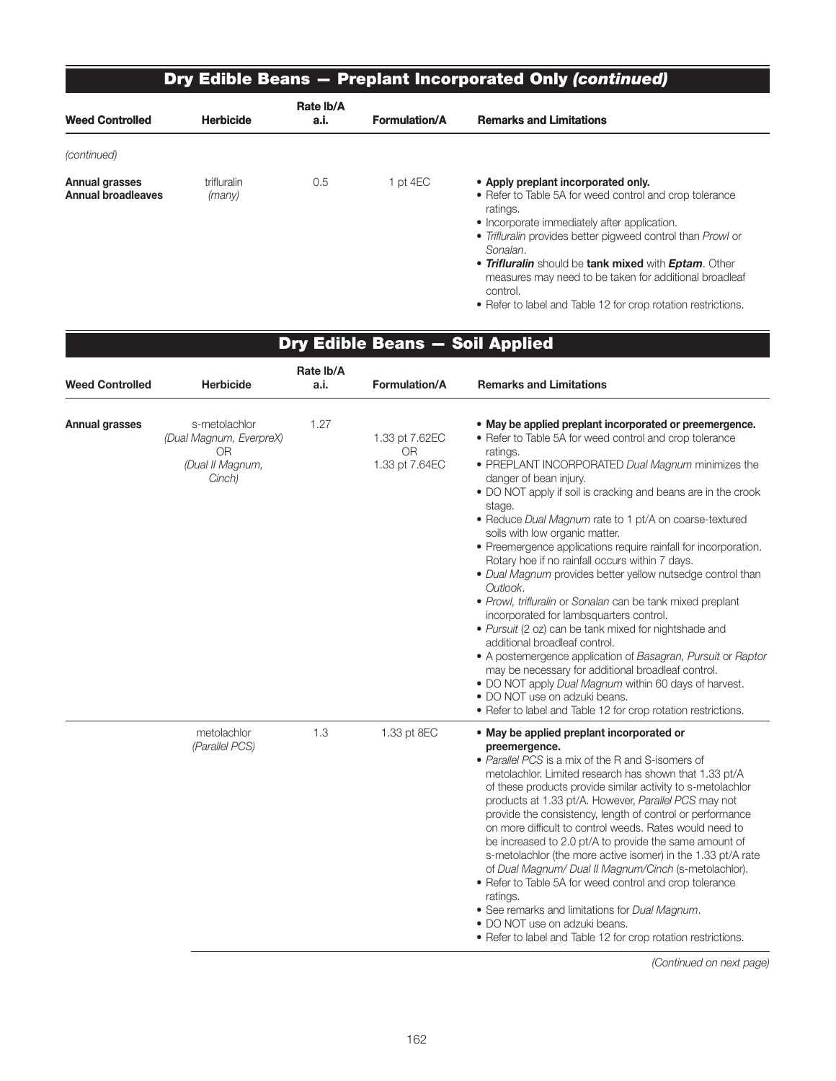### Dry Edible Beans — Preplant Incorporated Only *(continued)*

| <b>Weed Controlled</b>                      | <b>Herbicide</b>      | Rate Ib/A<br>a.i. | <b>Formulation/A</b> | <b>Remarks and Limitations</b>                                                                                                                                                                                                                                                                                                                          |
|---------------------------------------------|-----------------------|-------------------|----------------------|---------------------------------------------------------------------------------------------------------------------------------------------------------------------------------------------------------------------------------------------------------------------------------------------------------------------------------------------------------|
| (continued)                                 |                       |                   |                      |                                                                                                                                                                                                                                                                                                                                                         |
| Annual grasses<br><b>Annual broadleaves</b> | trifluralin<br>(many) | 0.5               | pt 4EC               | • Apply preplant incorporated only.<br>• Refer to Table 5A for weed control and crop tolerance<br>ratings.<br>• Incorporate immediately after application.<br>• Trifluralin provides better pigweed control than Prowl or<br>Sonalan.<br>• Trifluralin should be tank mixed with Eptam. Other<br>measures may need to be taken for additional broadleaf |

control.

• Refer to label and Table 12 for crop rotation restrictions.

|                        |                                                                                     |                   | Dry Edible Beans - Soil Applied               |                                                                                                                                                                                                                                                                                                                                                                                                                                                                                                                                                                                                                                                                                                                                                                                                                                                                                                                                                                                                                                                                          |
|------------------------|-------------------------------------------------------------------------------------|-------------------|-----------------------------------------------|--------------------------------------------------------------------------------------------------------------------------------------------------------------------------------------------------------------------------------------------------------------------------------------------------------------------------------------------------------------------------------------------------------------------------------------------------------------------------------------------------------------------------------------------------------------------------------------------------------------------------------------------------------------------------------------------------------------------------------------------------------------------------------------------------------------------------------------------------------------------------------------------------------------------------------------------------------------------------------------------------------------------------------------------------------------------------|
| <b>Weed Controlled</b> | <b>Herbicide</b>                                                                    | Rate Ib/A<br>a.i. | Formulation/A                                 | <b>Remarks and Limitations</b>                                                                                                                                                                                                                                                                                                                                                                                                                                                                                                                                                                                                                                                                                                                                                                                                                                                                                                                                                                                                                                           |
| Annual grasses         | s-metolachlor<br>(Dual Magnum, EverpreX)<br><b>OR</b><br>(Dual II Magnum,<br>Cinch) | 1.27              | 1.33 pt 7.62EC<br><b>OR</b><br>1.33 pt 7.64EC | • May be applied preplant incorporated or preemergence.<br>• Refer to Table 5A for weed control and crop tolerance<br>ratings.<br>• PREPLANT INCORPORATED Dual Magnum minimizes the<br>danger of bean injury.<br>• DO NOT apply if soil is cracking and beans are in the crook<br>stage.<br>• Reduce Dual Magnum rate to 1 pt/A on coarse-textured<br>soils with low organic matter.<br>• Preemergence applications require rainfall for incorporation.<br>Rotary hoe if no rainfall occurs within 7 days.<br>• Dual Magnum provides better yellow nutsedge control than<br>Outlook.<br>· Prowl, trifluralin or Sonalan can be tank mixed preplant<br>incorporated for lambsquarters control.<br>• Pursuit (2 oz) can be tank mixed for nightshade and<br>additional broadleaf control.<br>• A postemergence application of Basagran, Pursuit or Raptor<br>may be necessary for additional broadleaf control.<br>. DO NOT apply Dual Magnum within 60 days of harvest.<br>• DO NOT use on adzuki beans.<br>• Refer to label and Table 12 for crop rotation restrictions. |
|                        | metolachlor<br>(Parallel PCS)                                                       | 1.3               | 1.33 pt 8EC                                   | • May be applied preplant incorporated or<br>preemergence.<br>• Parallel PCS is a mix of the R and S-isomers of<br>metolachlor. Limited research has shown that 1.33 pt/A<br>of these products provide similar activity to s-metolachlor<br>products at 1.33 pt/A. However, Parallel PCS may not<br>provide the consistency, length of control or performance<br>on more difficult to control weeds. Rates would need to<br>be increased to 2.0 pt/A to provide the same amount of<br>s-metolachlor (the more active isomer) in the 1.33 pt/A rate<br>of Dual Magnum/ Dual II Magnum/Cinch (s-metolachlor).<br>• Refer to Table 5A for weed control and crop tolerance<br>ratings.<br>• See remarks and limitations for Dual Magnum.<br>• DO NOT use on adzuki beans.<br>• Refer to label and Table 12 for crop rotation restrictions.                                                                                                                                                                                                                                   |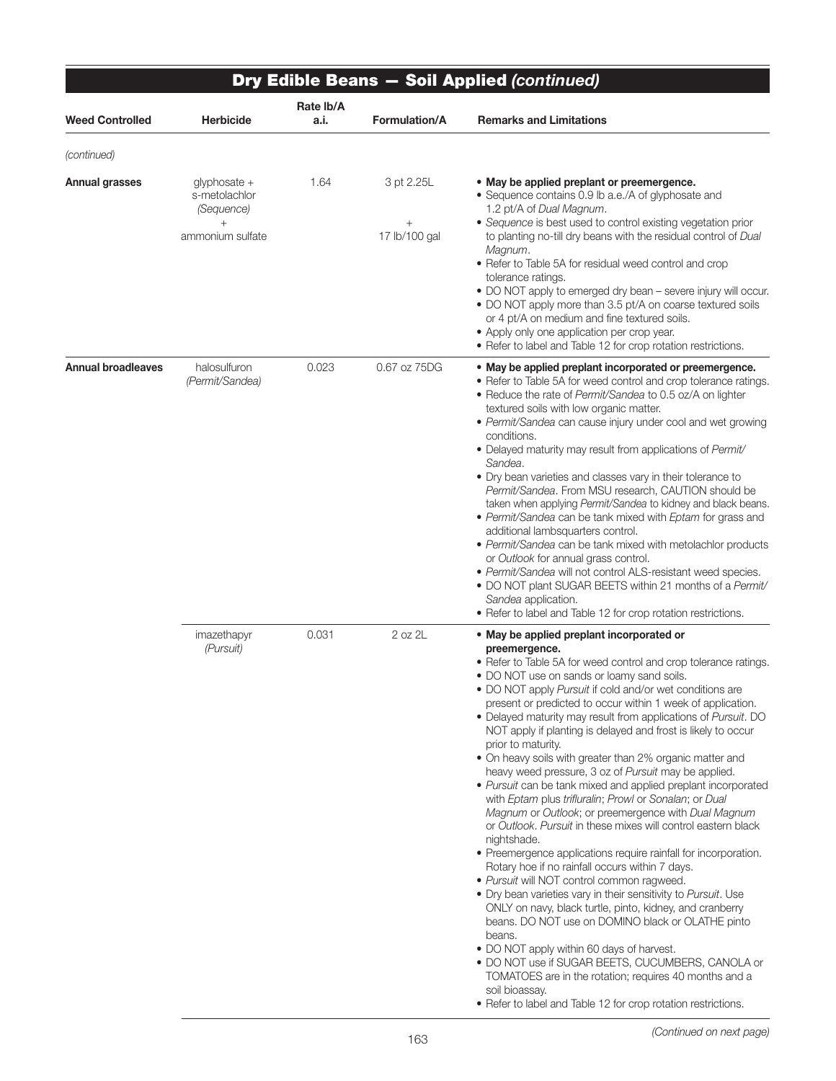|                           |                                                       | Rate Ib/A |                      | Dry Edible Beans - Soil Applied (continued)                                                                                                                                                                                                                                                                                                                                                                                                                                                                                                                                                                                                                                                                                                                                                                                                                                                                                                                                                                                                                                                                                                                                                                                                                                                                                                                                                                                                                            |
|---------------------------|-------------------------------------------------------|-----------|----------------------|------------------------------------------------------------------------------------------------------------------------------------------------------------------------------------------------------------------------------------------------------------------------------------------------------------------------------------------------------------------------------------------------------------------------------------------------------------------------------------------------------------------------------------------------------------------------------------------------------------------------------------------------------------------------------------------------------------------------------------------------------------------------------------------------------------------------------------------------------------------------------------------------------------------------------------------------------------------------------------------------------------------------------------------------------------------------------------------------------------------------------------------------------------------------------------------------------------------------------------------------------------------------------------------------------------------------------------------------------------------------------------------------------------------------------------------------------------------------|
| <b>Weed Controlled</b>    | <b>Herbicide</b>                                      | a.i.      | <b>Formulation/A</b> | <b>Remarks and Limitations</b>                                                                                                                                                                                                                                                                                                                                                                                                                                                                                                                                                                                                                                                                                                                                                                                                                                                                                                                                                                                                                                                                                                                                                                                                                                                                                                                                                                                                                                         |
| (continued)               |                                                       |           |                      |                                                                                                                                                                                                                                                                                                                                                                                                                                                                                                                                                                                                                                                                                                                                                                                                                                                                                                                                                                                                                                                                                                                                                                                                                                                                                                                                                                                                                                                                        |
| <b>Annual grasses</b>     | glyphosate +<br>s-metolachlor<br>(Sequence)<br>$^{+}$ | 1.64      | 3 pt 2.25L<br>$^{+}$ | • May be applied preplant or preemergence.<br>• Sequence contains 0.9 lb a.e./A of glyphosate and<br>1.2 pt/A of Dual Magnum.<br>• Sequence is best used to control existing vegetation prior                                                                                                                                                                                                                                                                                                                                                                                                                                                                                                                                                                                                                                                                                                                                                                                                                                                                                                                                                                                                                                                                                                                                                                                                                                                                          |
|                           | ammonium sulfate                                      |           | 17 lb/100 gal        | to planting no-till dry beans with the residual control of Dual<br>Magnum.<br>• Refer to Table 5A for residual weed control and crop<br>tolerance ratings.<br>• DO NOT apply to emerged dry bean - severe injury will occur.<br>• DO NOT apply more than 3.5 pt/A on coarse textured soils<br>or 4 pt/A on medium and fine textured soils.<br>• Apply only one application per crop year.<br>• Refer to label and Table 12 for crop rotation restrictions.                                                                                                                                                                                                                                                                                                                                                                                                                                                                                                                                                                                                                                                                                                                                                                                                                                                                                                                                                                                                             |
| <b>Annual broadleaves</b> | halosulfuron<br>(Permit/Sandea)                       | 0.023     | 0.67 oz 75DG         | • May be applied preplant incorporated or preemergence.<br>• Refer to Table 5A for weed control and crop tolerance ratings.<br>• Reduce the rate of Permit/Sandea to 0.5 oz/A on lighter<br>textured soils with low organic matter.<br>• Permit/Sandea can cause injury under cool and wet growing<br>conditions.<br>• Delayed maturity may result from applications of Permit/<br>Sandea.<br>• Dry bean varieties and classes vary in their tolerance to<br>Permit/Sandea. From MSU research, CAUTION should be<br>taken when applying Permit/Sandea to kidney and black beans.<br>• Permit/Sandea can be tank mixed with Eptam for grass and<br>additional lambsquarters control.<br>• Permit/Sandea can be tank mixed with metolachlor products<br>or Outlook for annual grass control.<br>· Permit/Sandea will not control ALS-resistant weed species.<br>. DO NOT plant SUGAR BEETS within 21 months of a Permit/<br>Sandea application.<br>• Refer to label and Table 12 for crop rotation restrictions.                                                                                                                                                                                                                                                                                                                                                                                                                                                         |
|                           | imazethapyr<br>(Pursuit)                              | 0.031     | 2 oz 2L              | . May be applied preplant incorporated or<br>preemergence.<br>• Refer to Table 5A for weed control and crop tolerance ratings.<br>• DO NOT use on sands or loamy sand soils.<br>• DO NOT apply Pursuit if cold and/or wet conditions are<br>present or predicted to occur within 1 week of application.<br>• Delayed maturity may result from applications of Pursuit. DO<br>NOT apply if planting is delayed and frost is likely to occur<br>prior to maturity.<br>• On heavy soils with greater than 2% organic matter and<br>heavy weed pressure, 3 oz of Pursuit may be applied.<br>• Pursuit can be tank mixed and applied preplant incorporated<br>with Eptam plus trifluralin; Prowl or Sonalan; or Dual<br>Magnum or Outlook; or preemergence with Dual Magnum<br>or Outlook. Pursuit in these mixes will control eastern black<br>nightshade.<br>• Preemergence applications require rainfall for incorporation.<br>Rotary hoe if no rainfall occurs within 7 days.<br>· Pursuit will NOT control common ragweed.<br>• Dry bean varieties vary in their sensitivity to Pursuit. Use<br>ONLY on navy, black turtle, pinto, kidney, and cranberry<br>beans. DO NOT use on DOMINO black or OLATHE pinto<br>beans.<br>• DO NOT apply within 60 days of harvest.<br>. DO NOT use if SUGAR BEETS, CUCUMBERS, CANOLA or<br>TOMATOES are in the rotation; requires 40 months and a<br>soil bioassay.<br>• Refer to label and Table 12 for crop rotation restrictions. |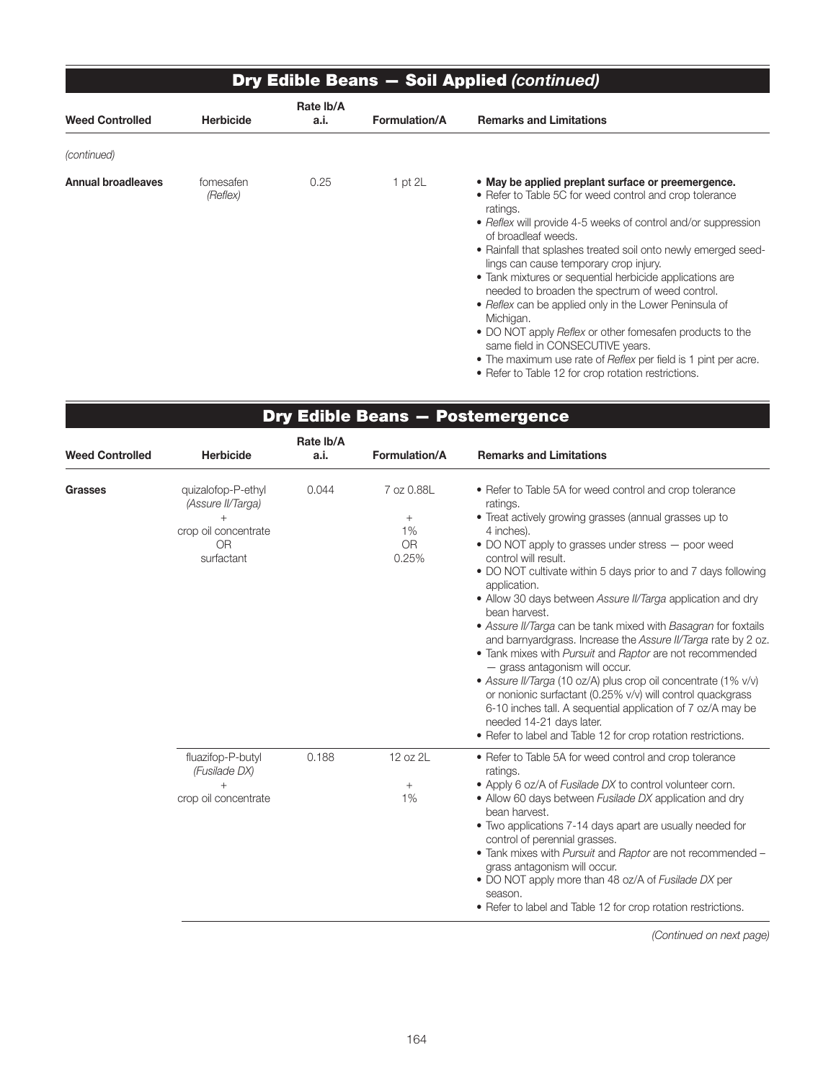|                           | <b>Dry Edible Beans - Soil Applied (continued)</b> |                   |                      |                                                                                                                                                                                                                                                                                                                                                                                                                                                                                                                                                                                                                                                                                                                                                     |  |  |  |  |
|---------------------------|----------------------------------------------------|-------------------|----------------------|-----------------------------------------------------------------------------------------------------------------------------------------------------------------------------------------------------------------------------------------------------------------------------------------------------------------------------------------------------------------------------------------------------------------------------------------------------------------------------------------------------------------------------------------------------------------------------------------------------------------------------------------------------------------------------------------------------------------------------------------------------|--|--|--|--|
| <b>Weed Controlled</b>    | <b>Herbicide</b>                                   | Rate Ib/A<br>a.i. | <b>Formulation/A</b> | <b>Remarks and Limitations</b>                                                                                                                                                                                                                                                                                                                                                                                                                                                                                                                                                                                                                                                                                                                      |  |  |  |  |
| (continued)               |                                                    |                   |                      |                                                                                                                                                                                                                                                                                                                                                                                                                                                                                                                                                                                                                                                                                                                                                     |  |  |  |  |
| <b>Annual broadleaves</b> | fomesafen<br>(Reflex)                              | 0.25              | 1 pt $2L$            | • May be applied preplant surface or preemergence.<br>• Refer to Table 5C for weed control and crop tolerance<br>ratings.<br>• Reflex will provide 4-5 weeks of control and/or suppression<br>of broadleaf weeds.<br>• Rainfall that splashes treated soil onto newly emerged seed-<br>lings can cause temporary crop injury.<br>• Tank mixtures or sequential herbicide applications are<br>needed to broaden the spectrum of weed control.<br>• Reflex can be applied only in the Lower Peninsula of<br>Michigan.<br>• DO NOT apply <i>Reflex</i> or other fomesafen products to the<br>same field in CONSECUTIVE years.<br>• The maximum use rate of Reflex per field is 1 pint per acre.<br>• Refer to Table 12 for crop rotation restrictions. |  |  |  |  |

 $\overline{\phantom{0}}$ 

| <b>Weed Controlled</b> | <b>Herbicide</b>                                                                                     | Rate Ib/A<br>a.i. | Formulation/A                                    | <b>Remarks and Limitations</b>                                                                                                                                                                                                                                                                                                                                                                                                                                                                                                                                                                                                                                                                                                                                                                                                                                                                                           |
|------------------------|------------------------------------------------------------------------------------------------------|-------------------|--------------------------------------------------|--------------------------------------------------------------------------------------------------------------------------------------------------------------------------------------------------------------------------------------------------------------------------------------------------------------------------------------------------------------------------------------------------------------------------------------------------------------------------------------------------------------------------------------------------------------------------------------------------------------------------------------------------------------------------------------------------------------------------------------------------------------------------------------------------------------------------------------------------------------------------------------------------------------------------|
| <b>Grasses</b>         | quizalofop-P-ethyl<br>(Assure II/Targa)<br>$^{+}$<br>crop oil concentrate<br><b>OR</b><br>surfactant | 0.044             | 7 oz 0.88L<br>$^{+}$<br>1%<br><b>OR</b><br>0.25% | • Refer to Table 5A for weed control and crop tolerance<br>ratings.<br>• Treat actively growing grasses (annual grasses up to<br>4 inches).<br>• DO NOT apply to grasses under stress - poor weed<br>control will result.<br>• DO NOT cultivate within 5 days prior to and 7 days following<br>application.<br>• Allow 30 days between Assure II/Targa application and dry<br>bean harvest.<br>• Assure II/Targa can be tank mixed with Basagran for foxtails<br>and barnyardgrass. Increase the Assure II/Targa rate by 2 oz.<br>• Tank mixes with Pursuit and Raptor are not recommended<br>- grass antagonism will occur.<br>• Assure II/Targa (10 oz/A) plus crop oil concentrate (1% v/v)<br>or nonionic surfactant (0.25% v/v) will control quackgrass<br>6-10 inches tall. A sequential application of 7 oz/A may be<br>needed 14-21 days later.<br>• Refer to label and Table 12 for crop rotation restrictions. |
|                        | fluazifop-P-butyl<br>(Fusilade DX)<br>$^{+}$<br>crop oil concentrate                                 | 0.188             | 12 oz 2L<br>$+$<br>1%                            | • Refer to Table 5A for weed control and crop tolerance<br>ratings.<br>• Apply 6 oz/A of Fusilade DX to control volunteer corn.<br>• Allow 60 days between Fusilade DX application and dry<br>bean harvest.<br>• Two applications 7-14 days apart are usually needed for<br>control of perennial grasses.<br>. Tank mixes with Pursuit and Raptor are not recommended -<br>grass antagonism will occur.<br>• DO NOT apply more than 48 oz/A of Fusilade DX per<br>season.<br>• Refer to label and Table 12 for crop rotation restrictions.                                                                                                                                                                                                                                                                                                                                                                               |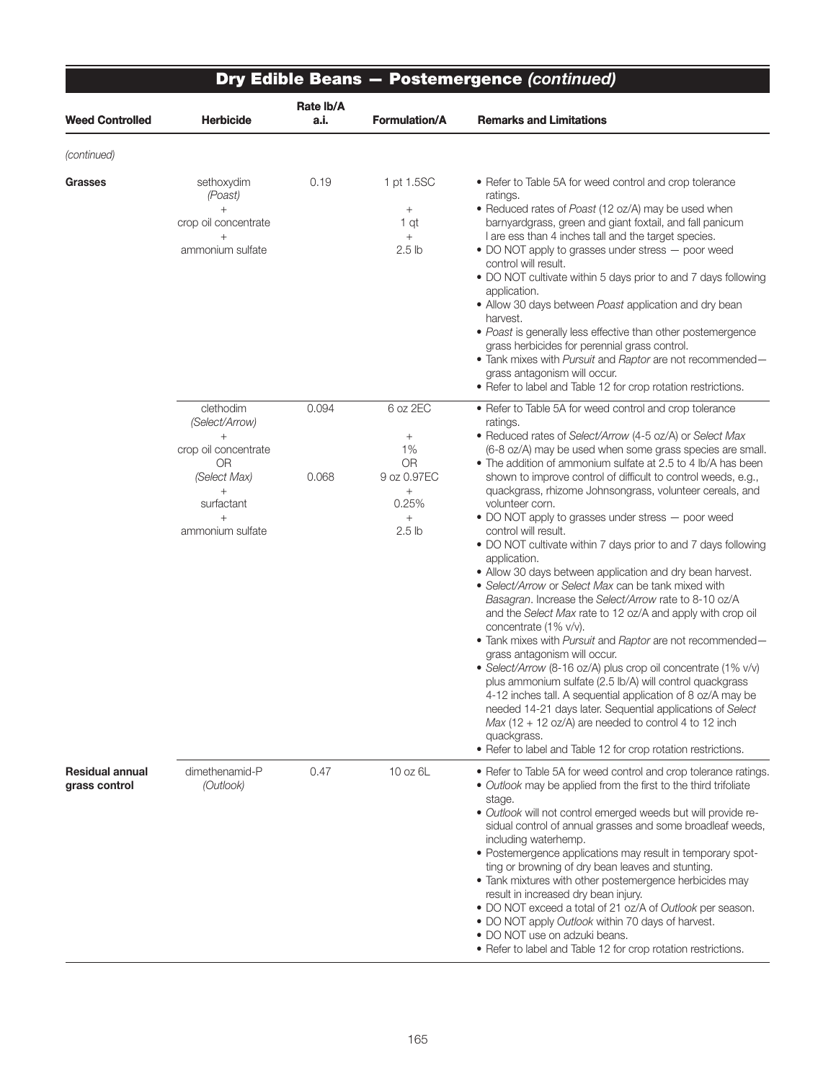| Dry Edible Beans - Postemergence (continued) |                                                                                                                                 |                   |                                                                                                  |                                                                                                                                                                                                                                                                                                                                                                                                                                                                                                                                                                                                                                                                                                                                                                                                                                                                                                                                                                                                                                                                                                                                                                                                                                                                                                                                                    |  |  |
|----------------------------------------------|---------------------------------------------------------------------------------------------------------------------------------|-------------------|--------------------------------------------------------------------------------------------------|----------------------------------------------------------------------------------------------------------------------------------------------------------------------------------------------------------------------------------------------------------------------------------------------------------------------------------------------------------------------------------------------------------------------------------------------------------------------------------------------------------------------------------------------------------------------------------------------------------------------------------------------------------------------------------------------------------------------------------------------------------------------------------------------------------------------------------------------------------------------------------------------------------------------------------------------------------------------------------------------------------------------------------------------------------------------------------------------------------------------------------------------------------------------------------------------------------------------------------------------------------------------------------------------------------------------------------------------------|--|--|
| <b>Weed Controlled</b>                       | <b>Herbicide</b>                                                                                                                | Rate Ib/A<br>a.i. | <b>Formulation/A</b>                                                                             | <b>Remarks and Limitations</b>                                                                                                                                                                                                                                                                                                                                                                                                                                                                                                                                                                                                                                                                                                                                                                                                                                                                                                                                                                                                                                                                                                                                                                                                                                                                                                                     |  |  |
| (continued)                                  |                                                                                                                                 |                   |                                                                                                  |                                                                                                                                                                                                                                                                                                                                                                                                                                                                                                                                                                                                                                                                                                                                                                                                                                                                                                                                                                                                                                                                                                                                                                                                                                                                                                                                                    |  |  |
| <b>Grasses</b>                               | sethoxydim<br>(Poast)<br>$+$<br>crop oil concentrate<br>$^{+}$<br>ammonium sulfate                                              | 0.19              | 1 pt 1.5SC<br>$\! + \!\!\!\!$<br>1 qt<br>$+$<br>2.5 <sub>lb</sub>                                | • Refer to Table 5A for weed control and crop tolerance<br>ratings.<br>• Reduced rates of Poast (12 oz/A) may be used when<br>barnyardgrass, green and giant foxtail, and fall panicum<br>I are ess than 4 inches tall and the target species.<br>• DO NOT apply to grasses under stress - poor weed<br>control will result.<br>. DO NOT cultivate within 5 days prior to and 7 days following<br>application.<br>• Allow 30 days between Poast application and dry bean<br>harvest.<br>· Poast is generally less effective than other postemergence<br>grass herbicides for perennial grass control.<br>• Tank mixes with Pursuit and Raptor are not recommended-<br>grass antagonism will occur.<br>• Refer to label and Table 12 for crop rotation restrictions.                                                                                                                                                                                                                                                                                                                                                                                                                                                                                                                                                                                |  |  |
|                                              | clethodim<br>(Select/Arrow)<br>crop oil concentrate<br>0R<br>(Select Max)<br>$^{+}$<br>surfactant<br>$^{+}$<br>ammonium sulfate | 0.094<br>0.068    | 6 oz 2EC<br>$+$<br>1%<br><b>OR</b><br>9 oz 0.97EC<br>$^{+}$<br>0.25%<br>$+$<br>2.5 <sub>lb</sub> | • Refer to Table 5A for weed control and crop tolerance<br>ratings.<br>• Reduced rates of Select/Arrow (4-5 oz/A) or Select Max<br>(6-8 oz/A) may be used when some grass species are small.<br>• The addition of ammonium sulfate at 2.5 to 4 lb/A has been<br>shown to improve control of difficult to control weeds, e.g.,<br>quackgrass, rhizome Johnsongrass, volunteer cereals, and<br>volunteer corn.<br>• DO NOT apply to grasses under stress - poor weed<br>control will result.<br>• DO NOT cultivate within 7 days prior to and 7 days following<br>application.<br>• Allow 30 days between application and dry bean harvest.<br>• Select/Arrow or Select Max can be tank mixed with<br>Basagran. Increase the Select/Arrow rate to 8-10 oz/A<br>and the Select Max rate to 12 oz/A and apply with crop oil<br>concentrate (1% v/v).<br>. Tank mixes with Pursuit and Raptor are not recommended-<br>grass antagonism will occur.<br>• Select/Arrow (8-16 oz/A) plus crop oil concentrate (1% v/v)<br>plus ammonium sulfate (2.5 lb/A) will control quackgrass<br>4-12 inches tall. A sequential application of 8 oz/A may be<br>needed 14-21 days later. Sequential applications of Select<br>$Max (12 + 12 oz/A)$ are needed to control 4 to 12 inch<br>quackgrass.<br>• Refer to label and Table 12 for crop rotation restrictions. |  |  |
| <b>Residual annual</b><br>grass control      | dimethenamid-P<br>(Outlook)                                                                                                     | 0.47              | 10 oz 6L                                                                                         | • Refer to Table 5A for weed control and crop tolerance ratings.<br>• Outlook may be applied from the first to the third trifoliate<br>stage.<br>. Outlook will not control emerged weeds but will provide re-<br>sidual control of annual grasses and some broadleaf weeds,<br>including waterhemp.<br>• Postemergence applications may result in temporary spot-<br>ting or browning of dry bean leaves and stunting.<br>• Tank mixtures with other postemergence herbicides may<br>result in increased dry bean injury.<br>• DO NOT exceed a total of 21 oz/A of Outlook per season.<br>• DO NOT apply Outlook within 70 days of harvest.<br>• DO NOT use on adzuki beans.<br>• Refer to label and Table 12 for crop rotation restrictions.                                                                                                                                                                                                                                                                                                                                                                                                                                                                                                                                                                                                     |  |  |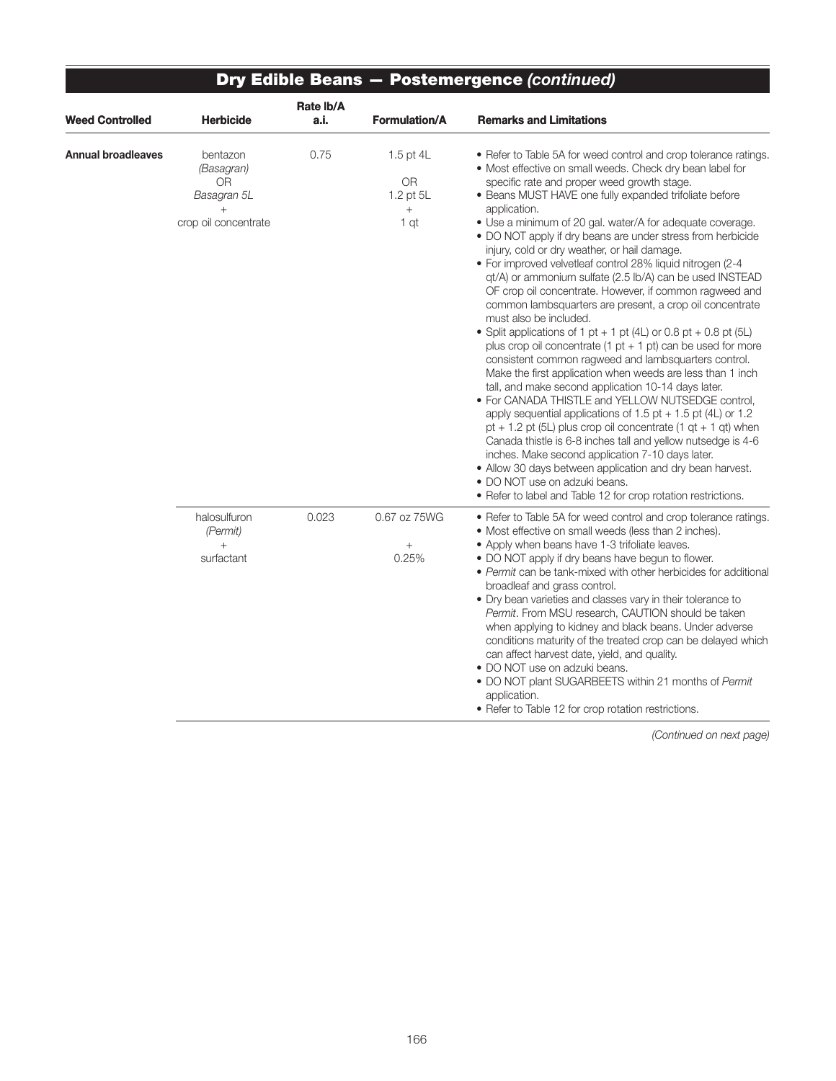| <b>Weed Controlled</b> | <b>Herbicide</b>                                                              | Rate Ib/A<br>a.i. | <b>Formulation/A</b>                                       | <b>Remarks and Limitations</b>                                                                                                                                                                                                                                                                                                                                                                                                                                                                                                                                                                                                                                                                                                                                                                                                                                                                                                                                                                                                                                                                                                                                                                                                                                                                                                                                                                                                                                                                                   |
|------------------------|-------------------------------------------------------------------------------|-------------------|------------------------------------------------------------|------------------------------------------------------------------------------------------------------------------------------------------------------------------------------------------------------------------------------------------------------------------------------------------------------------------------------------------------------------------------------------------------------------------------------------------------------------------------------------------------------------------------------------------------------------------------------------------------------------------------------------------------------------------------------------------------------------------------------------------------------------------------------------------------------------------------------------------------------------------------------------------------------------------------------------------------------------------------------------------------------------------------------------------------------------------------------------------------------------------------------------------------------------------------------------------------------------------------------------------------------------------------------------------------------------------------------------------------------------------------------------------------------------------------------------------------------------------------------------------------------------------|
| Annual broadleaves     | bentazon<br>(Basagran)<br>0R<br>Basagran 5L<br>$^{+}$<br>crop oil concentrate | 0.75              | 1.5 pt $4L$<br><b>OR</b><br>1.2 pt 5L<br>$\! + \!$<br>1 qt | • Refer to Table 5A for weed control and crop tolerance ratings.<br>• Most effective on small weeds. Check dry bean label for<br>specific rate and proper weed growth stage.<br>• Beans MUST HAVE one fully expanded trifoliate before<br>application.<br>• Use a minimum of 20 gal. water/A for adequate coverage.<br>• DO NOT apply if dry beans are under stress from herbicide<br>injury, cold or dry weather, or hail damage.<br>· For improved velvetleaf control 28% liquid nitrogen (2-4<br>qt/A) or ammonium sulfate (2.5 lb/A) can be used INSTEAD<br>OF crop oil concentrate. However, if common ragweed and<br>common lambsquarters are present, a crop oil concentrate<br>must also be included.<br>• Split applications of 1 pt + 1 pt (4L) or 0.8 pt + 0.8 pt (5L)<br>plus crop oil concentrate (1 pt + 1 pt) can be used for more<br>consistent common ragweed and lambsquarters control.<br>Make the first application when weeds are less than 1 inch<br>tall, and make second application 10-14 days later.<br>• For CANADA THISTLE and YELLOW NUTSEDGE control,<br>apply sequential applications of $1.5$ pt + $1.5$ pt (4L) or $1.2$<br>pt + 1.2 pt (5L) plus crop oil concentrate (1 $qt + 1 qt$ ) when<br>Canada thistle is 6-8 inches tall and yellow nutsedge is 4-6<br>inches. Make second application 7-10 days later.<br>• Allow 30 days between application and dry bean harvest.<br>• DO NOT use on adzuki beans.<br>• Refer to label and Table 12 for crop rotation restrictions. |
|                        | halosulfuron<br>(Permit)<br>$^{+}$<br>surfactant                              | 0.023             | 0.67 oz 75WG<br>$\! + \!\!\!\!$<br>0.25%                   | • Refer to Table 5A for weed control and crop tolerance ratings.<br>• Most effective on small weeds (less than 2 inches).<br>• Apply when beans have 1-3 trifoliate leaves.<br>• DO NOT apply if dry beans have begun to flower.<br>• Permit can be tank-mixed with other herbicides for additional<br>broadleaf and grass control.<br>• Dry bean varieties and classes vary in their tolerance to<br>Permit. From MSU research, CAUTION should be taken<br>when applying to kidney and black beans. Under adverse<br>conditions maturity of the treated crop can be delayed which<br>can affect harvest date, yield, and quality.<br>• DO NOT use on adzuki beans.<br>• DO NOT plant SUGARBEETS within 21 months of Permit<br>application.<br>• Refer to Table 12 for crop rotation restrictions.                                                                                                                                                                                                                                                                                                                                                                                                                                                                                                                                                                                                                                                                                                               |

#### Dry Edible Beans — Postemergence *(continued)*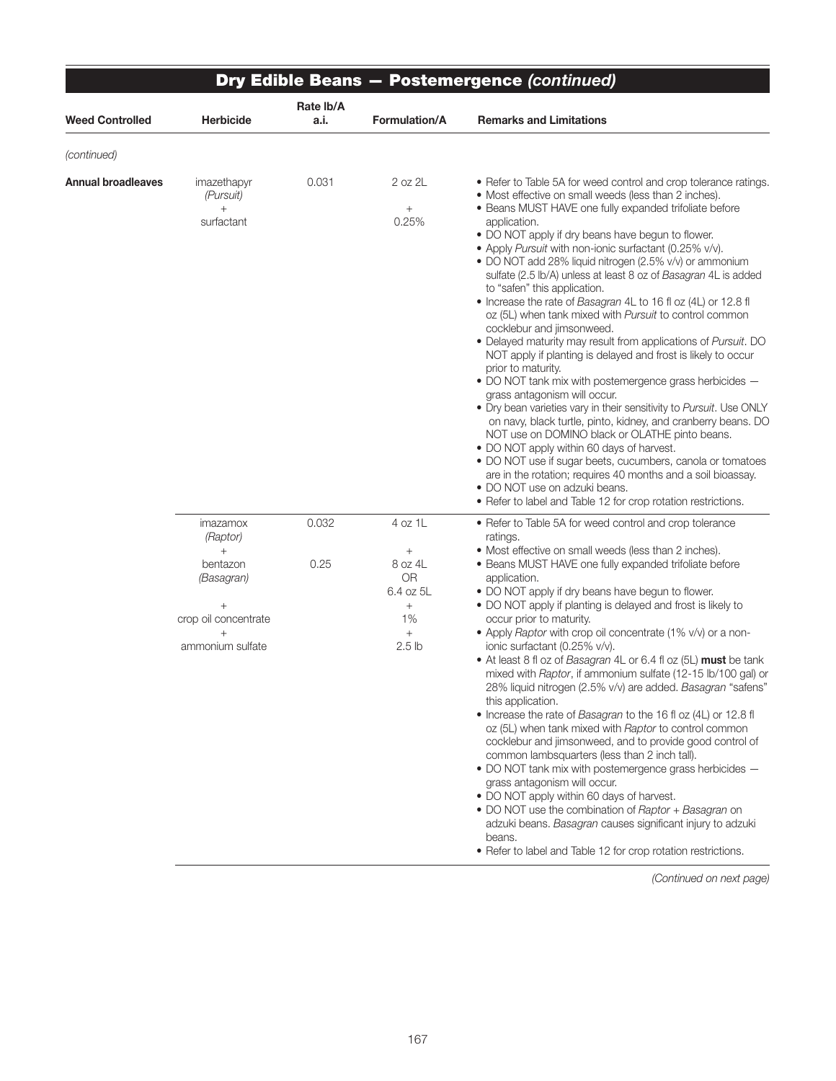|                        |                                                                                                                    |                   |                                                                                                 | <b>Dry Edible Beans - Postemergence (continued)</b>                                                                                                                                                                                                                                                                                                                                                                                                                                                                                                                                                                                                                                                                                                                                                                                                                                                                                                                                                                                                                                                                                                                                                                                                                                                                                                                  |
|------------------------|--------------------------------------------------------------------------------------------------------------------|-------------------|-------------------------------------------------------------------------------------------------|----------------------------------------------------------------------------------------------------------------------------------------------------------------------------------------------------------------------------------------------------------------------------------------------------------------------------------------------------------------------------------------------------------------------------------------------------------------------------------------------------------------------------------------------------------------------------------------------------------------------------------------------------------------------------------------------------------------------------------------------------------------------------------------------------------------------------------------------------------------------------------------------------------------------------------------------------------------------------------------------------------------------------------------------------------------------------------------------------------------------------------------------------------------------------------------------------------------------------------------------------------------------------------------------------------------------------------------------------------------------|
| <b>Weed Controlled</b> | <b>Herbicide</b>                                                                                                   | Rate Ib/A<br>a.i. | Formulation/A                                                                                   | <b>Remarks and Limitations</b>                                                                                                                                                                                                                                                                                                                                                                                                                                                                                                                                                                                                                                                                                                                                                                                                                                                                                                                                                                                                                                                                                                                                                                                                                                                                                                                                       |
| (continued)            |                                                                                                                    |                   |                                                                                                 |                                                                                                                                                                                                                                                                                                                                                                                                                                                                                                                                                                                                                                                                                                                                                                                                                                                                                                                                                                                                                                                                                                                                                                                                                                                                                                                                                                      |
| Annual broadleaves     | imazethapyr<br>(Pursuit)<br>$^{+}$<br>surfactant                                                                   | 0.031             | 2 oz 2L<br>$^{+}$<br>0.25%                                                                      | • Refer to Table 5A for weed control and crop tolerance ratings.<br>• Most effective on small weeds (less than 2 inches).<br>• Beans MUST HAVE one fully expanded trifoliate before<br>application.<br>. DO NOT apply if dry beans have begun to flower.<br>• Apply Pursuit with non-ionic surfactant (0.25% v/v).<br>• DO NOT add 28% liquid nitrogen (2.5% v/v) or ammonium<br>sulfate (2.5 lb/A) unless at least 8 oz of Basagran 4L is added<br>to "safen" this application.<br>• Increase the rate of Basagran 4L to 16 fl oz (4L) or 12.8 fl<br>oz (5L) when tank mixed with Pursuit to control common<br>cocklebur and jimsonweed.<br>• Delayed maturity may result from applications of Pursuit. DO<br>NOT apply if planting is delayed and frost is likely to occur<br>prior to maturity.<br>. DO NOT tank mix with postemergence grass herbicides -<br>grass antagonism will occur.<br>. Dry bean varieties vary in their sensitivity to Pursuit. Use ONLY<br>on navy, black turtle, pinto, kidney, and cranberry beans. DO<br>NOT use on DOMINO black or OLATHE pinto beans.<br>• DO NOT apply within 60 days of harvest.<br>• DO NOT use if sugar beets, cucumbers, canola or tomatoes<br>are in the rotation; requires 40 months and a soil bioassay.<br>• DO NOT use on adzuki beans.<br>• Refer to label and Table 12 for crop rotation restrictions. |
|                        | imazamox<br>(Raptor)<br>$+$<br>bentazon<br>(Basagran)<br>$^{+}$<br>crop oil concentrate<br>$+$<br>ammonium sulfate | 0.032<br>0.25     | 4 oz 1L<br>$^{+}$<br>8 oz 4L<br><b>OR</b><br>6.4 oz 5L<br>$+$<br>1%<br>$+$<br>2.5 <sub>lb</sub> | • Refer to Table 5A for weed control and crop tolerance<br>ratings.<br>• Most effective on small weeds (less than 2 inches).<br>• Beans MUST HAVE one fully expanded trifoliate before<br>application.<br>• DO NOT apply if dry beans have begun to flower.<br>• DO NOT apply if planting is delayed and frost is likely to<br>occur prior to maturity.<br>• Apply Raptor with crop oil concentrate (1% v/v) or a non-<br>ionic surfactant (0.25% v/v).<br>• At least 8 fl oz of Basagran 4L or 6.4 fl oz (5L) must be tank<br>mixed with Raptor, if ammonium sulfate (12-15 lb/100 gal) or<br>28% liquid nitrogen (2.5% v/v) are added. Basagran "safens"<br>this application.<br>• Increase the rate of Basagran to the 16 fl oz (4L) or 12.8 fl<br>oz (5L) when tank mixed with Raptor to control common<br>cocklebur and jimsonweed, and to provide good control of<br>common lambsquarters (less than 2 inch tall).<br>. DO NOT tank mix with postemergence grass herbicides -<br>grass antagonism will occur.<br>• DO NOT apply within 60 days of harvest.<br>• DO NOT use the combination of Raptor + Basagran on<br>adzuki beans. Basagran causes significant injury to adzuki<br>beans.<br>• Refer to label and Table 12 for crop rotation restrictions.                                                                                                    |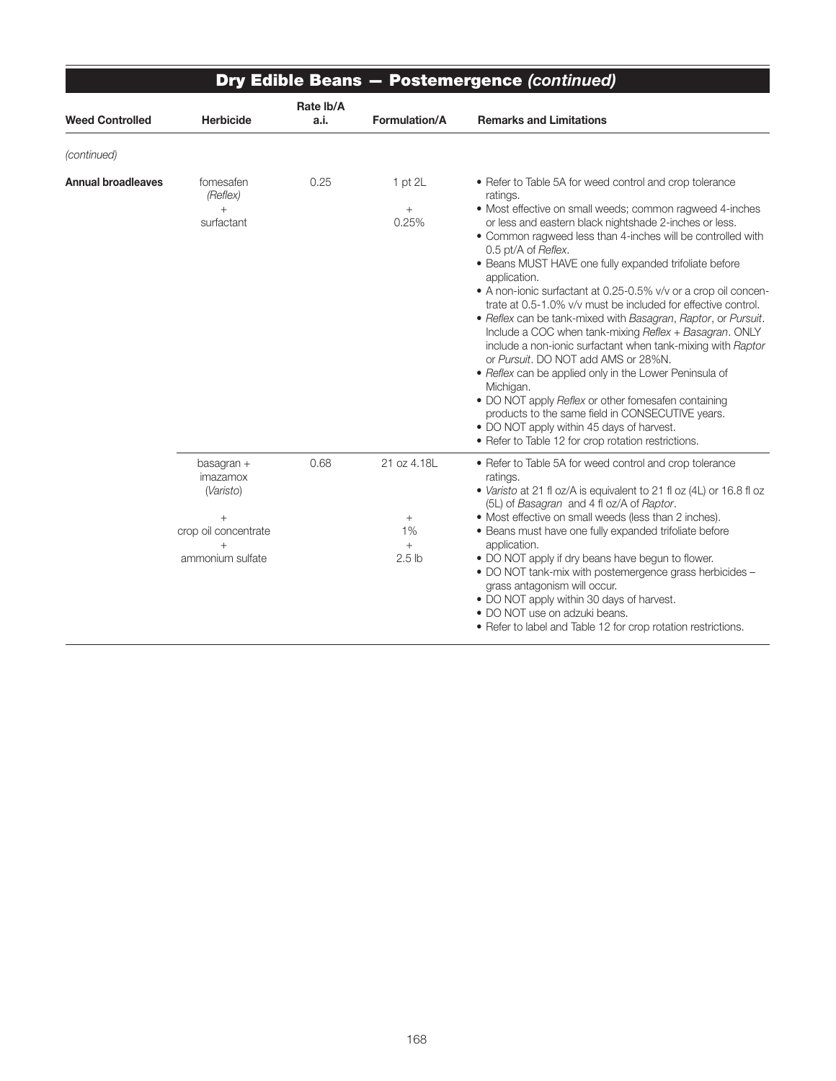|                        |                                                                                        | <b>Dry Edible Beans - Postemergence (continued)</b> |                                                |                                                                                                                                                                                                                                                                                                                                                                                                                                                                                                                                                                                                                                                                                                                                                                                                                                                                                                                                                               |  |  |  |  |  |
|------------------------|----------------------------------------------------------------------------------------|-----------------------------------------------------|------------------------------------------------|---------------------------------------------------------------------------------------------------------------------------------------------------------------------------------------------------------------------------------------------------------------------------------------------------------------------------------------------------------------------------------------------------------------------------------------------------------------------------------------------------------------------------------------------------------------------------------------------------------------------------------------------------------------------------------------------------------------------------------------------------------------------------------------------------------------------------------------------------------------------------------------------------------------------------------------------------------------|--|--|--|--|--|
| <b>Weed Controlled</b> | Herbicide                                                                              | Rate Ib/A<br>a.i.                                   | Formulation/A                                  | <b>Remarks and Limitations</b>                                                                                                                                                                                                                                                                                                                                                                                                                                                                                                                                                                                                                                                                                                                                                                                                                                                                                                                                |  |  |  |  |  |
| (continued)            |                                                                                        |                                                     |                                                |                                                                                                                                                                                                                                                                                                                                                                                                                                                                                                                                                                                                                                                                                                                                                                                                                                                                                                                                                               |  |  |  |  |  |
| Annual broadleaves     | fomesafen<br>(Reflex)<br>$^{+}$<br>surfactant                                          | 0.25                                                | $1$ pt $2L$<br>$+$<br>0.25%                    | • Refer to Table 5A for weed control and crop tolerance<br>ratings.<br>· Most effective on small weeds; common ragweed 4-inches<br>or less and eastern black nightshade 2-inches or less.<br>• Common ragweed less than 4-inches will be controlled with<br>0.5 pt/A of Reflex.<br>• Beans MUST HAVE one fully expanded trifoliate before<br>application.<br>• A non-ionic surfactant at 0.25-0.5% v/v or a crop oil concen-<br>trate at 0.5-1.0% v/v must be included for effective control.<br>• Reflex can be tank-mixed with Basagran, Raptor, or Pursuit.<br>Include a COC when tank-mixing Reflex + Basagran. ONLY<br>include a non-ionic surfactant when tank-mixing with Raptor<br>or Pursuit. DO NOT add AMS or 28%N.<br>• Reflex can be applied only in the Lower Peninsula of<br>Michigan.<br>• DO NOT apply Reflex or other fomesafen containing<br>products to the same field in CONSECUTIVE years.<br>• DO NOT apply within 45 days of harvest. |  |  |  |  |  |
|                        | basagran +<br>imazamox<br>(Varisto)<br>$+$<br>crop oil concentrate<br>ammonium sulfate | 0.68                                                | 21 oz 4.18L<br>$+$<br>1%<br>$^{+}$<br>$2.5$ lb | • Refer to Table 5A for weed control and crop tolerance<br>ratings.<br>• Varisto at 21 fl oz/A is equivalent to 21 fl oz (4L) or 16.8 fl oz<br>(5L) of Basagran and 4 fl oz/A of Raptor.<br>• Most effective on small weeds (less than 2 inches).<br>• Beans must have one fully expanded trifoliate before<br>application.<br>• DO NOT apply if dry beans have begun to flower.<br>. DO NOT tank-mix with postemergence grass herbicides -<br>grass antagonism will occur.<br>• DO NOT apply within 30 days of harvest.<br>• DO NOT use on adzuki beans.<br>• Refer to label and Table 12 for crop rotation restrictions.                                                                                                                                                                                                                                                                                                                                    |  |  |  |  |  |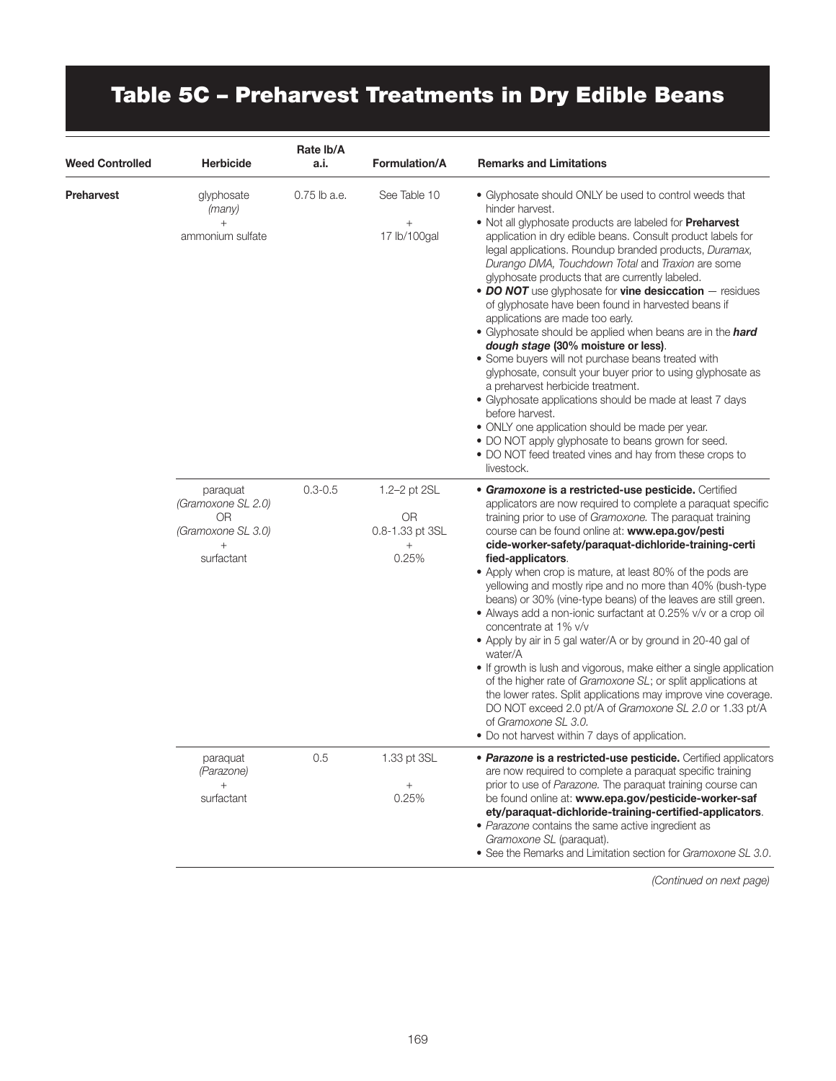# Table 5C – Preharvest Treatments in Dry Edible Beans

| <b>Weed Controlled</b> | <b>Herbicide</b>                                                         | Rate Ib/A<br>a.i. | <b>Formulation/A</b>                                            | <b>Remarks and Limitations</b>                                                                                                                                                                                                                                                                                                                                                                                                                                                                                                                                                                                                                                                                                                                                                                                                                                                                                                                                                                                                                                     |
|------------------------|--------------------------------------------------------------------------|-------------------|-----------------------------------------------------------------|--------------------------------------------------------------------------------------------------------------------------------------------------------------------------------------------------------------------------------------------------------------------------------------------------------------------------------------------------------------------------------------------------------------------------------------------------------------------------------------------------------------------------------------------------------------------------------------------------------------------------------------------------------------------------------------------------------------------------------------------------------------------------------------------------------------------------------------------------------------------------------------------------------------------------------------------------------------------------------------------------------------------------------------------------------------------|
| <b>Preharvest</b>      | glyphosate<br>(many)<br>$+$<br>ammonium sulfate                          | $0.75$ lb a.e.    | See Table 10<br>$+$<br>17 lb/100gal                             | • Glyphosate should ONLY be used to control weeds that<br>hinder harvest.<br>. Not all glyphosate products are labeled for <b>Preharvest</b><br>application in dry edible beans. Consult product labels for<br>legal applications. Roundup branded products, Duramax,<br>Durango DMA, Touchdown Total and Traxion are some<br>glyphosate products that are currently labeled.<br>• DO NOT use glyphosate for vine desiccation - residues<br>of glyphosate have been found in harvested beans if<br>applications are made too early.<br>• Glyphosate should be applied when beans are in the hard<br>dough stage (30% moisture or less).<br>• Some buyers will not purchase beans treated with<br>glyphosate, consult your buyer prior to using glyphosate as<br>a preharvest herbicide treatment.<br>• Glyphosate applications should be made at least 7 days<br>before harvest.<br>• ONLY one application should be made per year.<br>. DO NOT apply glyphosate to beans grown for seed.<br>• DO NOT feed treated vines and hay from these crops to<br>livestock. |
|                        | paraquat<br>(Gramoxone SL 2.0)<br>0R<br>(Gramoxone SL 3.0)<br>surfactant | $0.3 - 0.5$       | 1.2-2 pt 2SL<br><b>OR</b><br>0.8-1.33 pt 3SL<br>$^{+}$<br>0.25% | · Gramoxone is a restricted-use pesticide. Certified<br>applicators are now required to complete a paraquat specific<br>training prior to use of Gramoxone. The paraquat training<br>course can be found online at: www.epa.gov/pesti<br>cide-worker-safety/paraquat-dichloride-training-certi<br>fied-applicators.<br>• Apply when crop is mature, at least 80% of the pods are<br>yellowing and mostly ripe and no more than 40% (bush-type<br>beans) or 30% (vine-type beans) of the leaves are still green.<br>• Always add a non-ionic surfactant at 0.25% v/v or a crop oil<br>concentrate at 1% v/v<br>• Apply by air in 5 gal water/A or by ground in 20-40 gal of<br>water/A<br>• If growth is lush and vigorous, make either a single application<br>of the higher rate of Gramoxone SL; or split applications at<br>the lower rates. Split applications may improve vine coverage.<br>DO NOT exceed 2.0 pt/A of Gramoxone SL 2.0 or 1.33 pt/A<br>of Gramoxone SL 3.0.<br>• Do not harvest within 7 days of application.                                 |
|                        | paraquat<br>(Parazone)<br>$^{+}$<br>surfactant                           | 0.5               | 1.33 pt 3SL<br>$^{+}$<br>0.25%                                  | • Parazone is a restricted-use pesticide. Certified applicators<br>are now required to complete a paraquat specific training<br>prior to use of Parazone. The paraquat training course can<br>be found online at: www.epa.gov/pesticide-worker-saf<br>ety/paraquat-dichloride-training-certified-applicators.<br>· Parazone contains the same active ingredient as<br>Gramoxone SL (paraquat).<br>• See the Remarks and Limitation section for Gramoxone SL 3.0.                                                                                                                                                                                                                                                                                                                                                                                                                                                                                                                                                                                                   |